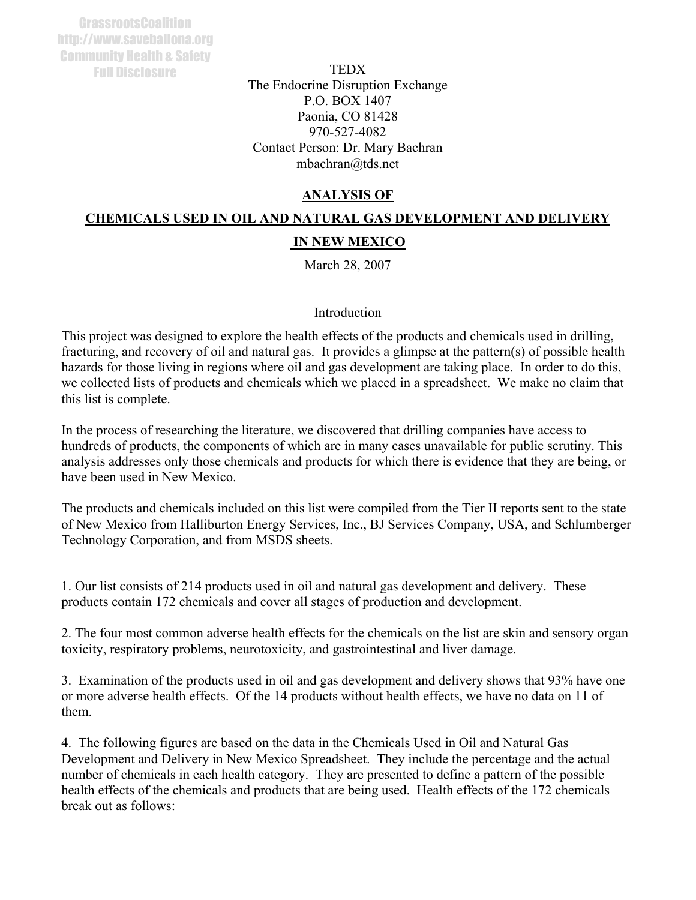**TEDX** The Endocrine Disruption Exchange P.O. BOX 1407 Paonia, CO 81428 970-527-4082 Contact Person: Dr. Mary Bachran mbachran@tds.net

# **ANALYSIS OF**

# **CHEMICALS USED IN OIL AND NATURAL GAS DEVELOPMENT AND DELIVERY IN NEW MEXICO**

March 28, 2007

### Introduction

This project was designed to explore the health effects of the products and chemicals used in drilling, fracturing, and recovery of oil and natural gas. It provides a glimpse at the pattern(s) of possible health hazards for those living in regions where oil and gas development are taking place. In order to do this, we collected lists of products and chemicals which we placed in a spreadsheet. We make no claim that this list is complete.

In the process of researching the literature, we discovered that drilling companies have access to hundreds of products, the components of which are in many cases unavailable for public scrutiny. This analysis addresses only those chemicals and products for which there is evidence that they are being, or have been used in New Mexico.

The products and chemicals included on this list were compiled from the Tier II reports sent to the state of New Mexico from Halliburton Energy Services, Inc., BJ Services Company, USA, and Schlumberger Technology Corporation, and from MSDS sheets.

1. Our list consists of 214 products used in oil and natural gas development and delivery. These products contain 172 chemicals and cover all stages of production and development.

2. The four most common adverse health effects for the chemicals on the list are skin and sensory organ toxicity, respiratory problems, neurotoxicity, and gastrointestinal and liver damage.

3. Examination of the products used in oil and gas development and delivery shows that 93% have one or more adverse health effects. Of the 14 products without health effects, we have no data on 11 of them.

4. The following figures are based on the data in the Chemicals Used in Oil and Natural Gas Development and Delivery in New Mexico Spreadsheet. They include the percentage and the actual number of chemicals in each health category. They are presented to define a pattern of the possible health effects of the chemicals and products that are being used. Health effects of the 172 chemicals break out as follows: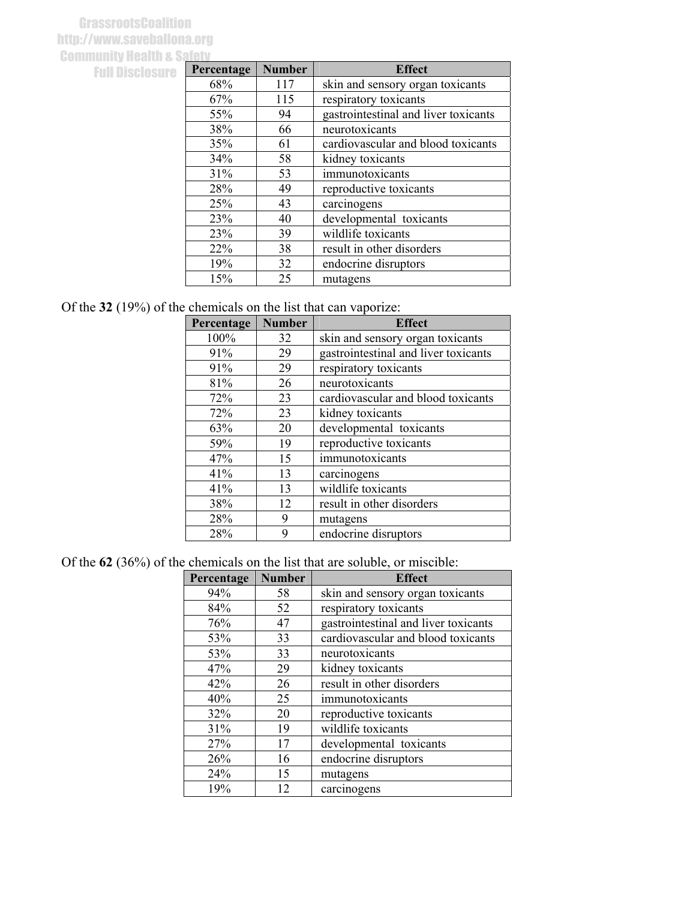## **GrassrootsCoalition** http://www.saveballona.org **Community Health & Safety** Full Disclosure

| Percentage | <b>Number</b> | <b>Effect</b>                        |
|------------|---------------|--------------------------------------|
| 68%        | 117           | skin and sensory organ toxicants     |
| 67%        | 115           | respiratory toxicants                |
| 55%        | 94            | gastrointestinal and liver toxicants |
| 38%        | 66            | neurotoxicants                       |
| 35%        | 61            | cardiovascular and blood toxicants   |
| 34%        | 58            | kidney toxicants                     |
| 31%        | 53            | immunotoxicants                      |
| 28%        | 49            | reproductive toxicants               |
| 25%        | 43            | carcinogens                          |
| 23%        | 40            | developmental toxicants              |
| 23%        | 39            | wildlife toxicants                   |
| 22%        | 38            | result in other disorders            |
| 19%        | 32            | endocrine disruptors                 |
| 15%        | 25            | mutagens                             |

# Of the **32** (19%) of the chemicals on the list that can vaporize:

| Percentage | <b>Number</b> | <b>Effect</b>                        |
|------------|---------------|--------------------------------------|
| 100%       | 32            | skin and sensory organ toxicants     |
| 91%        | 29            | gastrointestinal and liver toxicants |
| 91%        | 29            | respiratory toxicants                |
| 81%        | 26            | neurotoxicants                       |
| 72%        | 23            | cardiovascular and blood toxicants   |
| 72%        | 23            | kidney toxicants                     |
| 63%        | 20            | developmental toxicants              |
| 59%        | 19            | reproductive toxicants               |
| 47%        | 15            | immunotoxicants                      |
| 41%        | 13            | carcinogens                          |
| 41%        | 13            | wildlife toxicants                   |
| 38%        | 12            | result in other disorders            |
| 28%        | 9             | mutagens                             |
| 28%        | q             | endocrine disruptors                 |

### Of the **62** (36%) of the chemicals on the list that are soluble, or miscible:

| Percentage | <b>Number</b> | <b>Effect</b>                        |
|------------|---------------|--------------------------------------|
| 94%        | 58            | skin and sensory organ toxicants     |
| 84%        | 52            | respiratory toxicants                |
| 76%        | 47            | gastrointestinal and liver toxicants |
| 53%        | 33            | cardiovascular and blood toxicants   |
| 53%        | 33            | neurotoxicants                       |
| 47%        | 29            | kidney toxicants                     |
| 42%        | 26            | result in other disorders            |
| 40%        | 25            | immunotoxicants                      |
| 32%        | 20            | reproductive toxicants               |
| 31%        | 19            | wildlife toxicants                   |
| 27%        | 17            | developmental toxicants              |
| 26%        | 16            | endocrine disruptors                 |
| 24%        | 15            | mutagens                             |
| 19%        | 12            | carcinogens                          |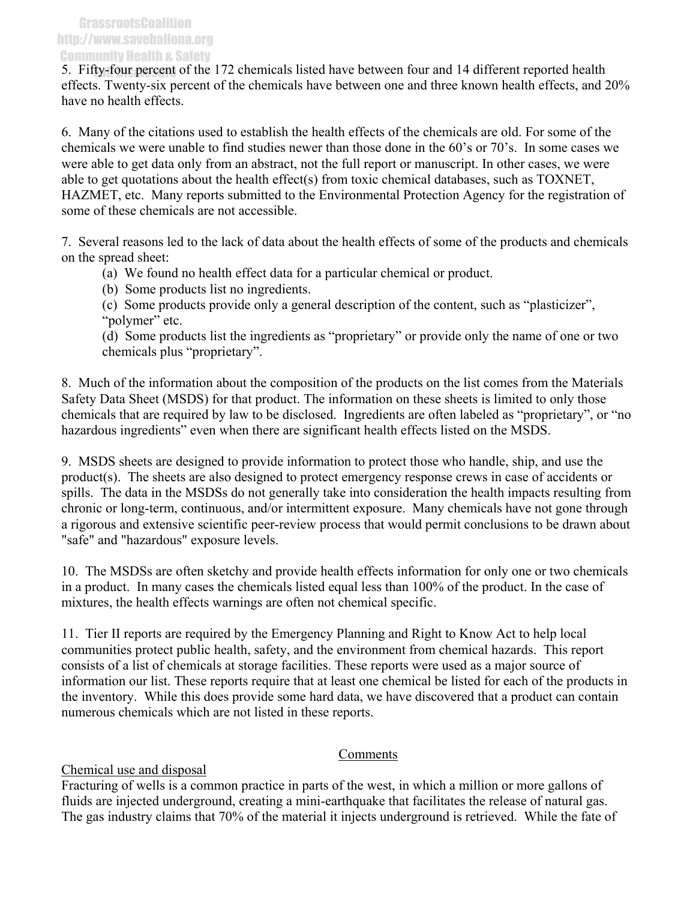5. Fifty-four percent of the 172 chemicals listed have between four and 14 different reported health effects. Twenty-six percent of the chemicals have between one and three known health effects, and 20% have no health effects.

6. Many of the citations used to establish the health effects of the chemicals are old. For some of the chemicals we were unable to find studies newer than those done in the 60's or 70's. In some cases we were able to get data only from an abstract, not the full report or manuscript. In other cases, we were able to get quotations about the health effect(s) from toxic chemical databases, such as TOXNET, HAZMET, etc. Many reports submitted to the Environmental Protection Agency for the registration of some of these chemicals are not accessible.

7. Several reasons led to the lack of data about the health effects of some of the products and chemicals on the spread sheet:

(a) We found no health effect data for a particular chemical or product.

(b) Some products list no ingredients.

(c) Some products provide only a general description of the content, such as "plasticizer", "polymer" etc.

(d) Some products list the ingredients as "proprietary" or provide only the name of one or two chemicals plus "proprietary".

8. Much of the information about the composition of the products on the list comes from the Materials Safety Data Sheet (MSDS) for that product. The information on these sheets is limited to only those chemicals that are required by law to be disclosed. Ingredients are often labeled as "proprietary", or "no hazardous ingredients" even when there are significant health effects listed on the MSDS.

9. MSDS sheets are designed to provide information to protect those who handle, ship, and use the product(s). The sheets are also designed to protect emergency response crews in case of accidents or spills. The data in the MSDSs do not generally take into consideration the health impacts resulting from chronic or long-term, continuous, and/or intermittent exposure. Many chemicals have not gone through a rigorous and extensive scientific peer-review process that would permit conclusions to be drawn about "safe" and "hazardous" exposure levels.

10. The MSDSs are often sketchy and provide health effects information for only one or two chemicals in a product. In many cases the chemicals listed equal less than 100% of the product. In the case of mixtures, the health effects warnings are often not chemical specific.

11. Tier II reports are required by the Emergency Planning and Right to Know Act to help local communities protect public health, safety, and the environment from chemical hazards. This report consists of a list of chemicals at storage facilities. These reports were used as a major source of information our list. These reports require that at least one chemical be listed for each of the products in the inventory. While this does provide some hard data, we have discovered that a product can contain numerous chemicals which are not listed in these reports.

### Comments

# Chemical use and disposal

Fracturing of wells is a common practice in parts of the west, in which a million or more gallons of fluids are injected underground, creating a mini-earthquake that facilitates the release of natural gas. The gas industry claims that 70% of the material it injects underground is retrieved. While the fate of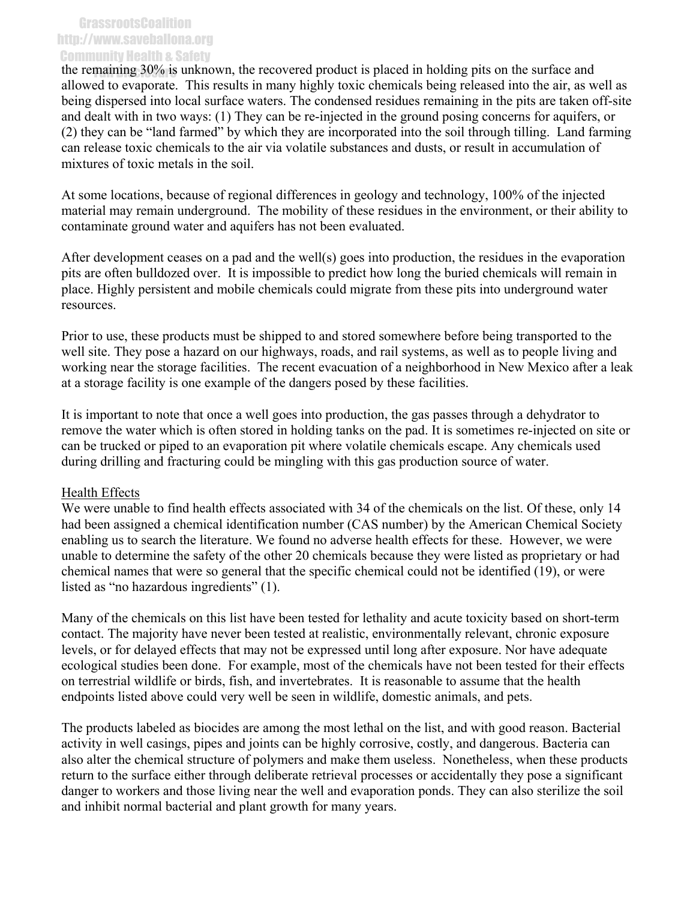#### **GrassrootsCoalition** http://www.saveballona.org Community Health & Safety

the remaining 30% is unknown, the recovered product is placed in holding pits on the surface and allowed to evaporate. This results in many highly toxic chemicals being released into the air, as well as being dispersed into local surface waters. The condensed residues remaining in the pits are taken off-site and dealt with in two ways: (1) They can be re-injected in the ground posing concerns for aquifers, or (2) they can be "land farmed" by which they are incorporated into the soil through tilling. Land farming can release toxic chemicals to the air via volatile substances and dusts, or result in accumulation of mixtures of toxic metals in the soil.

At some locations, because of regional differences in geology and technology, 100% of the injected material may remain underground. The mobility of these residues in the environment, or their ability to contaminate ground water and aquifers has not been evaluated.

After development ceases on a pad and the well(s) goes into production, the residues in the evaporation pits are often bulldozed over. It is impossible to predict how long the buried chemicals will remain in place. Highly persistent and mobile chemicals could migrate from these pits into underground water resources.

Prior to use, these products must be shipped to and stored somewhere before being transported to the well site. They pose a hazard on our highways, roads, and rail systems, as well as to people living and working near the storage facilities. The recent evacuation of a neighborhood in New Mexico after a leak at a storage facility is one example of the dangers posed by these facilities.

It is important to note that once a well goes into production, the gas passes through a dehydrator to remove the water which is often stored in holding tanks on the pad. It is sometimes re-injected on site or can be trucked or piped to an evaporation pit where volatile chemicals escape. Any chemicals used during drilling and fracturing could be mingling with this gas production source of water.

#### Health Effects

We were unable to find health effects associated with 34 of the chemicals on the list. Of these, only 14 had been assigned a chemical identification number (CAS number) by the American Chemical Society enabling us to search the literature. We found no adverse health effects for these. However, we were unable to determine the safety of the other 20 chemicals because they were listed as proprietary or had chemical names that were so general that the specific chemical could not be identified (19), or were listed as "no hazardous ingredients" (1).

Many of the chemicals on this list have been tested for lethality and acute toxicity based on short-term contact. The majority have never been tested at realistic, environmentally relevant, chronic exposure levels, or for delayed effects that may not be expressed until long after exposure. Nor have adequate ecological studies been done. For example, most of the chemicals have not been tested for their effects on terrestrial wildlife or birds, fish, and invertebrates. It is reasonable to assume that the health endpoints listed above could very well be seen in wildlife, domestic animals, and pets.

The products labeled as biocides are among the most lethal on the list, and with good reason. Bacterial activity in well casings, pipes and joints can be highly corrosive, costly, and dangerous. Bacteria can also alter the chemical structure of polymers and make them useless. Nonetheless, when these products return to the surface either through deliberate retrieval processes or accidentally they pose a significant danger to workers and those living near the well and evaporation ponds. They can also sterilize the soil and inhibit normal bacterial and plant growth for many years.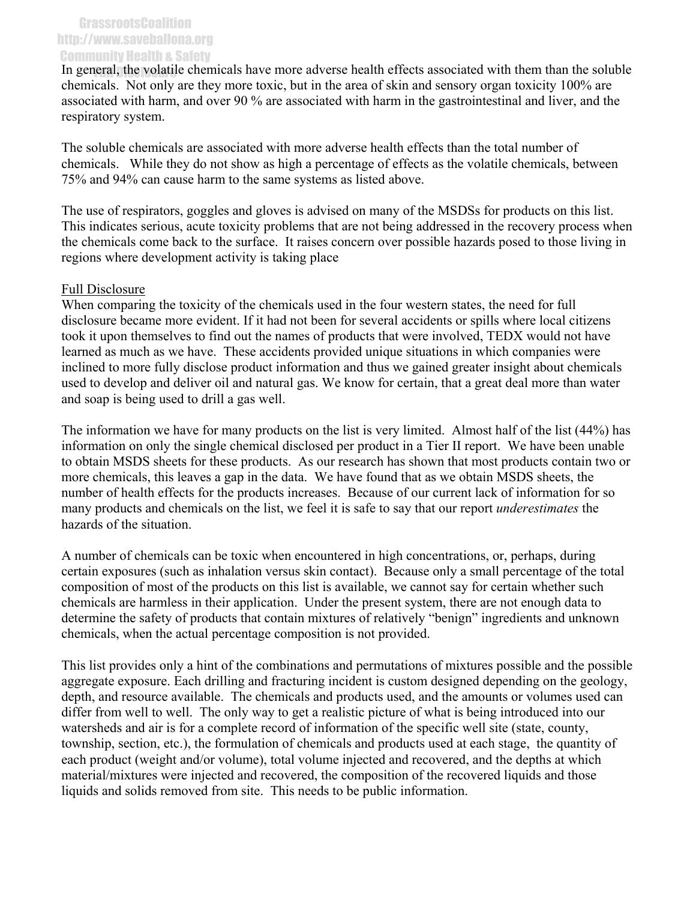#### GrassrootsCoalition http://www.saveballona.org Community Health & Safety

In general, the volatile chemicals have more adverse health effects associated with them than the soluble chemicals. Not only are they more toxic, but in the area of skin and sensory organ toxicity 100% are associated with harm, and over 90 % are associated with harm in the gastrointestinal and liver, and the respiratory system.

The soluble chemicals are associated with more adverse health effects than the total number of chemicals. While they do not show as high a percentage of effects as the volatile chemicals, between 75% and 94% can cause harm to the same systems as listed above.

The use of respirators, goggles and gloves is advised on many of the MSDSs for products on this list. This indicates serious, acute toxicity problems that are not being addressed in the recovery process when the chemicals come back to the surface. It raises concern over possible hazards posed to those living in regions where development activity is taking place

#### Full Disclosure

When comparing the toxicity of the chemicals used in the four western states, the need for full disclosure became more evident. If it had not been for several accidents or spills where local citizens took it upon themselves to find out the names of products that were involved, TEDX would not have learned as much as we have. These accidents provided unique situations in which companies were inclined to more fully disclose product information and thus we gained greater insight about chemicals used to develop and deliver oil and natural gas. We know for certain, that a great deal more than water and soap is being used to drill a gas well.

The information we have for many products on the list is very limited. Almost half of the list (44%) has information on only the single chemical disclosed per product in a Tier II report. We have been unable to obtain MSDS sheets for these products. As our research has shown that most products contain two or more chemicals, this leaves a gap in the data. We have found that as we obtain MSDS sheets, the number of health effects for the products increases. Because of our current lack of information for so many products and chemicals on the list, we feel it is safe to say that our report *underestimates* the hazards of the situation.

A number of chemicals can be toxic when encountered in high concentrations, or, perhaps, during certain exposures (such as inhalation versus skin contact). Because only a small percentage of the total composition of most of the products on this list is available, we cannot say for certain whether such chemicals are harmless in their application. Under the present system, there are not enough data to determine the safety of products that contain mixtures of relatively "benign" ingredients and unknown chemicals, when the actual percentage composition is not provided.

This list provides only a hint of the combinations and permutations of mixtures possible and the possible aggregate exposure. Each drilling and fracturing incident is custom designed depending on the geology, depth, and resource available. The chemicals and products used, and the amounts or volumes used can differ from well to well. The only way to get a realistic picture of what is being introduced into our watersheds and air is for a complete record of information of the specific well site (state, county, township, section, etc.), the formulation of chemicals and products used at each stage, the quantity of each product (weight and/or volume), total volume injected and recovered, and the depths at which material/mixtures were injected and recovered, the composition of the recovered liquids and those liquids and solids removed from site. This needs to be public information.